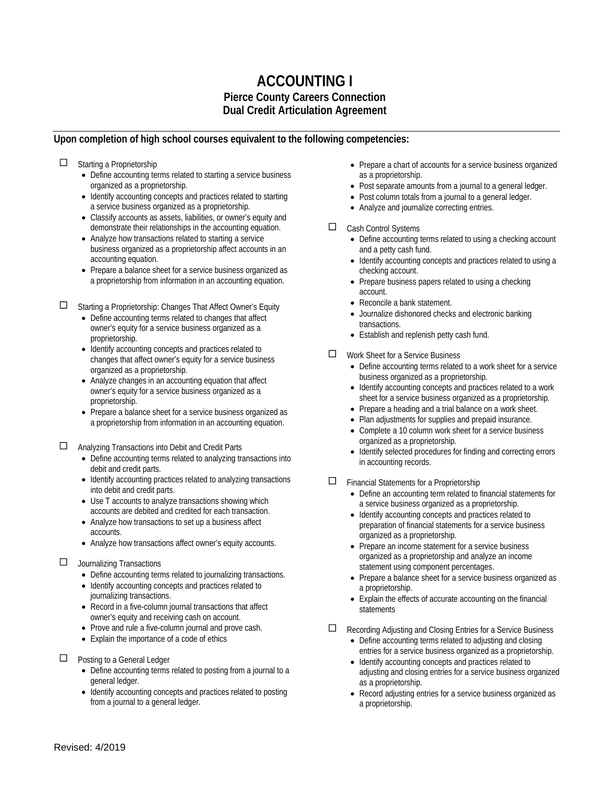# **ACCOUNTING I Pierce County Careers Connection Dual Credit Articulation Agreement**

#### **Upon completion of high school courses equivalent to the following competencies:**

□ Starting a Proprietorship

- Define accounting terms related to starting a service business organized as a proprietorship.
- Identify accounting concepts and practices related to starting a service business organized as a proprietorship.
- Classify accounts as assets, liabilities, or owner's equity and demonstrate their relationships in the accounting equation.
- Analyze how transactions related to starting a service business organized as a proprietorship affect accounts in an accounting equation.
- Prepare a balance sheet for a service business organized as a proprietorship from information in an accounting equation.

Starting a Proprietorship: Changes That Affect Owner's Equity

- Define accounting terms related to changes that affect owner's equity for a service business organized as a proprietorship.
- Identify accounting concepts and practices related to changes that affect owner's equity for a service business organized as a proprietorship.
- Analyze changes in an accounting equation that affect owner's equity for a service business organized as a proprietorship.
- Prepare a balance sheet for a service business organized as a proprietorship from information in an accounting equation.

Analyzing Transactions into Debit and Credit Parts

- Define accounting terms related to analyzing transactions into debit and credit parts.
- Identify accounting practices related to analyzing transactions into debit and credit parts.
- Use T accounts to analyze transactions showing which accounts are debited and credited for each transaction.
- Analyze how transactions to set up a business affect accounts.
- Analyze how transactions affect owner's equity accounts.

#### $\square$  Journalizing Transactions

- Define accounting terms related to journalizing transactions.
- Identify accounting concepts and practices related to journalizing transactions.
- Record in a five-column journal transactions that affect owner's equity and receiving cash on account.
- Prove and rule a five-column journal and prove cash.
- Explain the importance of a code of ethics
- $\Box$  Posting to a General Ledger
	- Define accounting terms related to posting from a journal to a general ledger.
	- Identify accounting concepts and practices related to posting from a journal to a general ledger.
- Prepare a chart of accounts for a service business organized as a proprietorship.
- Post separate amounts from a journal to a general ledger.
- Post column totals from a journal to a general ledger.
- Analyze and journalize correcting entries.
- □ Cash Control Systems
	- Define accounting terms related to using a checking account and a petty cash fund.
	- Identify accounting concepts and practices related to using a checking account.
	- Prepare business papers related to using a checking account.
	- Reconcile a bank statement.
	- Journalize dishonored checks and electronic banking transactions.
	- Establish and replenish petty cash fund.
- $\Box$  Work Sheet for a Service Business
	- Define accounting terms related to a work sheet for a service business organized as a proprietorship.
	- Identify accounting concepts and practices related to a work sheet for a service business organized as a proprietorship.
	- Prepare a heading and a trial balance on a work sheet.
	- Plan adjustments for supplies and prepaid insurance. • Complete a 10 column work sheet for a service business organized as a proprietorship.
	- Identify selected procedures for finding and correcting errors in accounting records.
- $\Box$  Financial Statements for a Proprietorship
	- Define an accounting term related to financial statements for a service business organized as a proprietorship.
	- Identify accounting concepts and practices related to preparation of financial statements for a service business organized as a proprietorship.
	- Prepare an income statement for a service business organized as a proprietorship and analyze an income statement using component percentages.
	- Prepare a balance sheet for a service business organized as a proprietorship.
	- Explain the effects of accurate accounting on the financial statements
- Recording Adjusting and Closing Entries for a Service Business
	- Define accounting terms related to adjusting and closing entries for a service business organized as a proprietorship.
	- Identify accounting concepts and practices related to adjusting and closing entries for a service business organized as a proprietorship.
	- Record adjusting entries for a service business organized as a proprietorship.